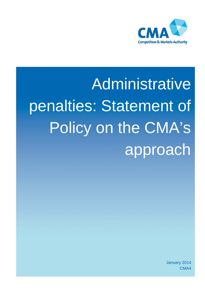

# **Administrative** penalties: Statement of Policy on the CMA's approach

January 2014 CMA4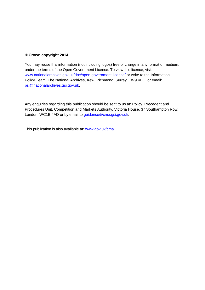#### **© Crown copyright 2014**

You may reuse this information (not including logos) free of charge in any format or medium, under the terms of the Open Government Licence. To view this licence, visit [www.nationalarchives.gov.uk/doc/open-government-licence/](http://www.nationalarchives.gov.uk/doc/open-government-licence/) or write to the Information Policy Team, The National Archives, Kew, Richmond, Surrey, TW9 4DU, or email: [psi@nationalarchives.gsi.gov.uk.](mailto:psi@nationalarchives.gsi.gov.uk)

Any enquiries regarding this publication should be sent to us at: Policy, Precedent and Procedures Unit, Competition and Markets Authority, Victoria House, 37 Southampton Row, London, WC1B 4AD or by email to [guidance@cma.gsi.gov.uk.](mailto:guidance@cma.gsi.gov.uk)

This publication is also available at: [www.gov.uk/cma.](http://www.gov.uk/cma)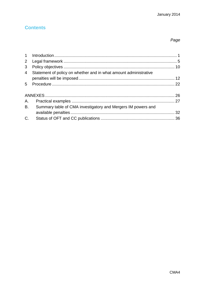# **Contents**

# Page

| 3              |                                                                  |  |
|----------------|------------------------------------------------------------------|--|
| $\overline{4}$ | Statement of policy on whether and in what amount administrative |  |
|                |                                                                  |  |
|                |                                                                  |  |
|                |                                                                  |  |
|                |                                                                  |  |
| B.             | Summary table of CMA investigatory and Mergers IM powers and     |  |
|                |                                                                  |  |
| C.             |                                                                  |  |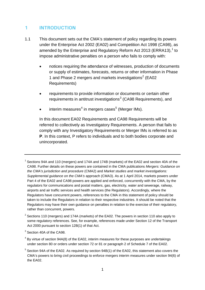# <span id="page-3-0"></span>**1 INTRODUCTION**

- 1.1 This document sets out the CMA's statement of policy regarding its powers under the Enterprise Act 2002 (EA02) and Competition Act 1998 (CA98), as amended by the Enterprise and Regulatory Reform Act 20[1](#page-3-1)3 (ERRA13), $^1$  to impose administrative penalties on a person who fails to comply with:
	- notices requiring the attendance of witnesses, production of documents or supply of estimates, forecasts, returns or other information in Phase 1 and Phase [2](#page-3-2) mergers and markets investigations<sup>2</sup> (EA02 Requirements)
	- requirements to provide information or documents or certain other requirements in antitrust investigations<sup>[3](#page-3-3)</sup> (CA98 Requirements), and
	- $\bullet$  interim measures<sup>[4](#page-3-4)</sup> in mergers cases<sup>[5](#page-3-5)</sup> (Merger IMs).

In this document EA02 Requirements and CA98 Requirements will be referred to collectively as Investigatory Requirements. A person that fails to comply with any Investigatory Requirements or Merger IMs is referred to as **P**. In this context, P refers to individuals and to both bodies corporate and unincorporated.

<span id="page-3-1"></span> $1$  Sections 94A and 110 (mergers) and 174A and 174B (markets) of the EA02 and section 40A of the CA98. Further details on these powers are contained in the CMA publications *Mergers: Guidance on the CMA's jurisdiction and procedure* (CMA2) and *Market studies and market investigations: Supplemental guidance on the CMA's* approach (CMA3). As at 1 April 2014, markets powers under Part 4 of the EA02 and CA98 powers are applied and enforced, concurrently with the CMA, by the regulators for communications and postal matters, gas, electricity, water and sewerage, railway, airports and air traffic services and health services (the Regulators). Accordingly, where the Regulators have concurrent powers, references to the CMA in this statement of policy should be taken to include the Regulators in relation to their respective industries. It should be noted that the Regulators may have their own guidance on penalties in relation to the exercise of their regulatory, rather than concurrent, powers.

- <span id="page-3-2"></span> $2$  Sections 110 (mergers) and 174A (markets) of the EA02. The powers in section 110 also apply to some regulatory references. See, for example, references made under Section 12 of the Transport Act 2000 pursuant to section 12B(1) of that Act.
- <span id="page-3-3"></span><sup>3</sup> Section 40A of the CA98.

<span id="page-3-4"></span> $4$  By virtue of section 94A(8) of the EA02, interim measures for these purposes are undertakings under section 80 or orders under section 72 or 81 or paragraph 2 of Schedule 7 of the EA02.

<span id="page-3-5"></span> $5$  Section 94A of the EA02. As required by section 94B(1) of the EA02, this statement also covers the CMA's powers to bring civil proceedings to enforce mergers interim measures under section 94(6) of the EA02.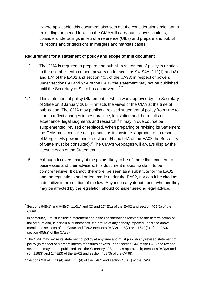1.2 Where applicable, this document also sets out the considerations relevant to extending the period in which the CMA will carry out its investigations, consider undertakings in lieu of a reference (UILs) and prepare and publish its reports and/or decisions in mergers and markets cases.

#### **Requirement for a statement of policy and scope of this document**

- 1.3 The CMA is required to prepare and publish a statement of policy in relation to the use of its enforcement powers under sections 94, 94A, 110(1) and (3) and 174 of the EA02 and section 40A of the CA98; in respect of powers under sections 94 and 94A of the EA02 the statement may not be published until the Secretary of State has approved it. $6,7$  $6,7$
- 1.4 This statement of policy (Statement) which was approved by the Secretary of State on 8 January 2014 – reflects the views of the CMA at the time of publication. The CMA may publish a revised statement of policy from time to time to reflect changes in best practice, legislation and the results of experience, legal judgments and research.<sup>[8](#page-4-2)</sup> It may in due course be supplemented, revised or replaced. When preparing or revising its Statement the CMA must consult such persons as it considers appropriate (in respect of Merger IMs powers under sections 94 and 94A of the EA02 the Secretary of State must be consulted).<sup>[9](#page-4-3)</sup> The CMA's webpages will always display the latest version of the Statement.
- 1.5 Although it covers many of the points likely to be of immediate concern to businesses and their advisers, this document makes no claim to be comprehensive. It cannot, therefore, be seen as a substitute for the EA02 and the regulations and orders made under the EA02, nor can it be cited as a definitive interpretation of the law. Anyone in any doubt about whether they may be affected by the legislation should consider seeking legal advice.

<span id="page-4-0"></span> $6$  Sections 94B(1) and 94B(5), 116(1) and (2) and 174E(1) of the EA02 and section 40B(1) of the CA98.

<span id="page-4-1"></span> $<sup>7</sup>$  In particular, it must include a statement about the considerations relevant to the determination of</sup> the amount and, in certain circumstances, the nature of any penalty imposed under the above mentioned sections of the CA98 and EA02 (sections 94B(2), 116(2) and 174E(2) of the EA02 and section 40B(2) of the CA98).

<span id="page-4-2"></span> $8$  The CMA may revise its statement of policy at any time and must publish any revised statement of policy (in respect of mergers interim measures powers under section 94A of the EA02 the revised statement may not be published until the Secretary of State has approved it) (sections 94B(3) and (5), 116(3) and 174E(3) of the EA02 and section 40B(3) of the CA98).

<span id="page-4-3"></span> $9^9$  Sections 94B(4), 116(4) and 174E(4) of the EA02 and section 40B(4) of the CA98.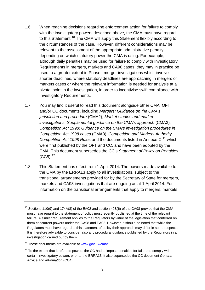- 1.6 When reaching decisions regarding enforcement action for failure to comply with the investigatory powers described above, the CMA must have regard to this Statement.<sup>[10](#page-5-0)</sup> The CMA will apply this Statement flexibly according to the circumstances of the case. However, different considerations may be relevant to the assessment of the appropriate administrative penalty, depending on which statutory power the CMA is using. For example, although daily penalties may be used for failure to comply with Investigatory Requirements in mergers, markets and CA98 cases, they may in practice be used to a greater extent in Phase I merger investigations which involve shorter deadlines, where statutory deadlines are approaching in mergers or markets cases or where the relevant information is needed for analysis at a pivotal point in the investigation, in order to incentivise swift compliance with Investigatory Requirements.
- 1.7 You may find it useful to read this document alongside other CMA, OFT and/or CC documents, including *Mergers: Guidance on the CMA's jurisdiction and procedure* (CMA2); *Market studies and market investigations: Supplemental guidance on the CMA's approach* (CMA3); *Competition Act 1998: Guidance on the CMA's investigation procedures in Competition Act 1998 cases* (CMA8); *Competition and Markets Authority* Competition Act 1998 Rules and the documents listed in Annexe C,<sup>[11](#page-5-1)</sup> which were first published by the OFT and CC, and have been adopted by the CMA*.* This document supersedes the CC's *Statement of Policy on Penalties*  $(CC5)$ .<sup>[12](#page-5-2)</sup>
- 1.8 This Statement has effect from 1 April 2014. The powers made available to the CMA by the ERRA13 apply to all investigations, subject to the transitional arrangements provided for by the Secretary of State for mergers, markets and CA98 investigations that are ongoing as at 1 April 2014. For information on the transitional arrangements that apply to mergers, markets

<span id="page-5-0"></span> $10$  Sections 110(9) and 174A(8) of the EA02 and section 40B(6) of the CA98 provide that the CMA must have regard to the statement of policy most recently published at the time of the relevant failure. A similar requirement applies to the Regulators by virtue of the legislation that conferred on them concurrent powers under the CA98 and EA02. However, it should be noted that while the Regulators must have regard to this statement of policy their approach may differ in some respects. It is therefore advisable to consider also any procedural guidance published by the Regulators in an investigation carried out by them.

<span id="page-5-1"></span> $11$  These documents are available at [www.gov.uk/cma/.](http://www.gov.uk/cma/)

<span id="page-5-2"></span> $12$  To the extent that it refers to powers the CC had to impose penalties for failure to comply with certain investigatory powers prior to the ERRA13, it also supersedes the CC document *General Advice and Information* (CC4).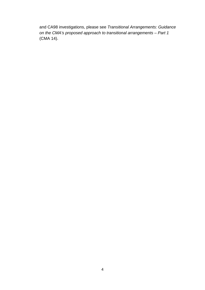and CA98 investigations, please see *Transitional Arrangements: Guidance on the CMA's proposed approach to transitional arrangements – Part 1* (CMA 14).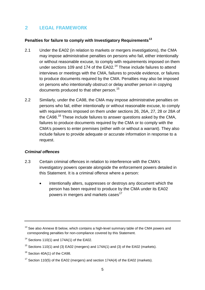# <span id="page-7-0"></span>**2 LEGAL FRAMEWORK**

## **Penalties for failure to comply with Investigatory Requirements[13](#page-7-1)**

- 2.1 Under the EA02 (in relation to markets or mergers investigations), the CMA may impose administrative penalties on persons who fail, either intentionally or without reasonable excuse, to comply with requirements imposed on them under sections 109 and 174 of the EA02.<sup>[14](#page-7-2)</sup> These include failures to attend interviews or meetings with the CMA, failures to provide evidence, or failures to produce documents required by the CMA. Penalties may also be imposed on persons who intentionally obstruct or delay another person in copying documents produced to that other person.<sup>[15](#page-7-3)</sup>
- 2.2 Similarly, under the CA98, the CMA may impose administrative penalties on persons who fail, either intentionally or without reasonable excuse, to comply with requirements imposed on them under sections 26, 26A, 27, 28 or 28A of the CA98.<sup>[16](#page-7-4)</sup> These include failures to answer questions asked by the CMA, failures to produce documents required by the CMA or to comply with the CMA's powers to enter premises (either with or without a warrant). They also include failure to provide adequate or accurate information in response to a request.

## *Criminal offences*

- 2.3 Certain criminal offences in relation to interference with the CMA's investigatory powers operate alongside the enforcement powers detailed in this Statement. It is a criminal offence where a person:
	- intentionally alters, suppresses or destroys any document which the person has been required to produce by the CMA under its EA02 powers in mergers and markets cases<sup>[17](#page-7-5)</sup>

<span id="page-7-1"></span> $13$  See also Annexe B below, which contains a high-level summary table of the CMA powers and corresponding penalties for non-compliance covered by this Statement.

<span id="page-7-2"></span> $14$  Sections 110(1) and 174A(1) of the EA02.

<span id="page-7-3"></span><sup>&</sup>lt;sup>15</sup> Sections 110(1) and (3) EA02 (mergers) and 174A(1) and (3) of the EA02 (markets).

<span id="page-7-4"></span> $16$  Section 40A(1) of the CA98.

<span id="page-7-5"></span> $17$  Section 110(5) of the EA02 (mergers) and section 174A(4) of the EA02 (markets).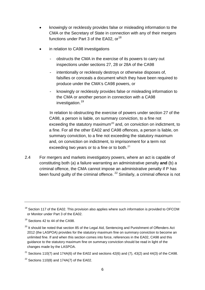- knowingly or recklessly provides false or misleading information to the CMA or the Secretary of State in connection with any of their mergers functions under Part 3 of the EA02, or  $18$
- in relation to CA98 investigations
	- obstructs the CMA in the exercise of its powers to carry out inspections under sections 27, 28 or 28A of the CA98
	- intentionally or recklessly destroys or otherwise disposes of, falsifies or conceals a document which they have been required to produce under the CMA's CA98 powers, or
	- knowingly or recklessly provides false or misleading information to the CMA or another person in connection with a CA98 investigation.<sup>[19](#page-8-1)</sup>

In relation to obstructing the exercise of powers under section 27 of the CA98, a person is liable, on summary conviction, to a fine not exceeding the statutory maximum<sup>[20](#page-8-2)</sup> and, on conviction on indictment, to a fine. For all the other EA02 and CA98 offences, a person is liable, on summary conviction, to a fine not exceeding the statutory maximum and, on conviction on indictment, to imprisonment for a term not exceeding two years or to a fine or to both. $21$ 

2.4 For mergers and markets investigatory powers, where an act is capable of constituting both (a) a failure warranting an administrative penalty **and** (b) a criminal offence, the CMA cannot impose an administrative penalty if P has been found guilty of the criminal offence.<sup>[22](#page-8-4)</sup> Similarly, a criminal offence is not

<span id="page-8-0"></span> $18$  Section 117 of the EA02. This provision also applies where such information is provided to OFCOM or Monitor under Part 3 of the EA02.

<span id="page-8-1"></span><sup>&</sup>lt;sup>19</sup> Sections 42 to 44 of the CA98.

<span id="page-8-2"></span> $20$  It should be noted that section 85 of the Legal Aid, Sentencing and Punishment of Offenders Act 2012 (the LASPOA) provides for the statutory maximum fine on summary conviction to become an unlimited fine. If and when this section comes into force, references in the EA02, CA98 and this guidance to the statutory maximum fine on summary conviction should be read in light of the changes made by the LASPOA.

<span id="page-8-3"></span><sup>&</sup>lt;sup>21</sup> Sections 110(7) and 174A(6) of the EA02 and sections 42(6) and (7), 43(2) and 44(3) of the CA98.

<span id="page-8-4"></span> $22$  Sections 110(8) and 174A(7) of the EA02.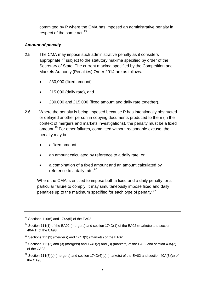committed by P where the CMA has imposed an administrative penalty in respect of the same  $act.^{23}$  $act.^{23}$  $act.^{23}$ 

# *Amount of penalty*

- 2.5 The CMA may impose such administrative penalty as it considers appropriate, $24$  subject to the statutory maxima specified by order of the Secretary of State. The current maxima specified by the Competition and Markets Authority (Penalties) Order 2014 are as follows:
	- £30,000 (fixed amount)
	- £15,000 (daily rate), and
	- £30,000 and £15,000 (fixed amount and daily rate together).
- 2.6 Where the penalty is being imposed because P has intentionally obstructed or delayed another person in copying documents produced to them (in the context of mergers and markets investigations), the penalty must be a fixed amount.<sup>[25](#page-9-2)</sup> For other failures, committed without reasonable excuse, the penalty may be:
	- a fixed amount
	- an amount calculated by reference to a daily rate, or
	- a combination of a fixed amount and an amount calculated by reference to a daily rate. $^{26}$  $^{26}$  $^{26}$

Where the CMA is entitled to impose both a fixed and a daily penalty for a particular failure to comply, it may simultaneously impose fixed and daily penalties up to the maximum specified for each type of penalty.[27](#page-9-4)

<span id="page-9-0"></span><sup>&</sup>lt;sup>23</sup> Sections 110(6) and 174A(5) of the EA02.

<span id="page-9-1"></span><sup>&</sup>lt;sup>24</sup> Section 111(1) of the EA02 (mergers) and section 174D(1) of the EA02 (markets) and section 40A(1) of the CA98.

<span id="page-9-2"></span> $25$  Sections 111(3) (mergers) and 174D(3) (markets) of the EA02.

<span id="page-9-3"></span> $26$  Sections 111(2) and (3) (mergers) and 174D(2) and (3) (markets) of the EA02 and section 40A(2) of the CA98.

<span id="page-9-4"></span><sup>&</sup>lt;sup>27</sup> Section 111(7)(c) (mergers) and section 174D(6)(c) (markets) of the EA02 and section 40A(3)(c) of the CA98.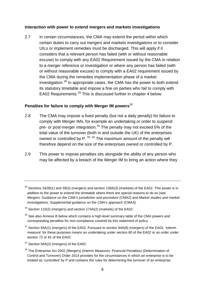#### **Interaction with power to extend mergers and markets investigations**

2.7 In certain circumstances, the CMA may extend the period within which certain duties to carry out mergers and markets investigations or to consider UILs or implement remedies must be discharged. This will apply if it considers that a relevant person has failed (with or without reasonable excuse) to comply with any EA02 Requirement issued by the CMA in relation to a merger reference or investigation or where any person has failed (with or without reasonable excuse) to comply with a EA02 requirement issued by the CMA during the remedies implementation phase of a market investigation.<sup>[28](#page-10-0)</sup> In appropriate cases, the CMA has the power to both extend its statutory timetable and impose a fine on parties who fail to comply with EA02 Requirements.<sup>[29](#page-10-1)</sup> This is discussed further in chapter 4 below.

# **Penalties for failure to comply with Merger IM powers** [30](#page-10-2)

- 2.8 The CMA may impose a fixed penalty (but not a daily penalty) for failure to comply with Merger IMs, for example an undertaking or order to suspend pre- or post-merger integration.<sup>[31](#page-10-3)</sup> The penalty may not exceed 5% of the total value of the turnover (both in and outside the UK) of the enterprises owned or controlled by P. <sup>[32,](#page-10-4) [33](#page-10-5)</sup> The maximum amount of the penalty will therefore depend on the size of the enterprises owned or controlled by P.
- <span id="page-10-6"></span>2.9 This power to impose penalties sits alongside the ability of any person who may be affected by a breach of the Merger IM to bring an action where they

- <span id="page-10-3"></span> $31$  Section 94A(1) (mergers) of the EA02. Pursuant to section 94A(8) (mergers) of the EA02, 'interim measure' for these purposes means an undertaking under section 80 of the EA02 or an order under section 72 or 81 of the EA02.
- <span id="page-10-4"></span><sup>32</sup> Section 94A(2) (mergers) of the EA02.

<span id="page-10-0"></span> $28$  Sections 34ZB(1) and 39(3) (mergers) and section 138A(3) (markets) of the EA02. This power is in addition to the power to extend the timetable where there are special reasons to do so (see *Mergers: Guidance on the CMA's jurisdiction and procedure* (CMA2) and *Market studies and market investigations: Supplemental guidance on the CMA's approach* (CMA3).

<span id="page-10-1"></span><sup>&</sup>lt;sup>29</sup> Section 110(2) (mergers) and section 174A(2) (markets) of the EA02.

<span id="page-10-2"></span> $30$  See also Annexe B below which contains a high-level summary table of the CMA powers and corresponding penalties for non-compliance covered by this statement of policy.

<span id="page-10-5"></span><sup>&</sup>lt;sup>33</sup> The Enterprise Act 2002 (Mergers) (Interim Measures: Financial Penalties) (Determination of Control and Turnover) Order 2014 provides for the circumstances in which an enterprise is to be treated as 'controlled' by P and contains the rules for determining the turnover of an enterprise.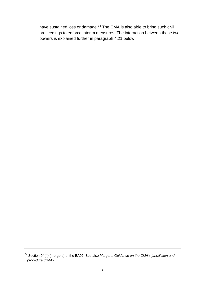have sustained loss or damage.<sup>[34](#page-11-0)</sup> The CMA is also able to bring such civil powersis explained further in paragraph 4.21 below. proceedings to enforce interim measures. The interaction between these two

<span id="page-11-0"></span><sup>34</sup> Section 94(4) (mergers) of the EA02. See also *Mergers: Guidance on the CMA's jurisdiction and procedure* (CMA2).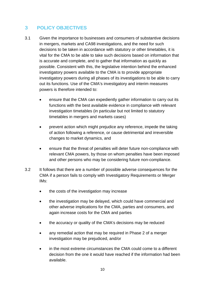# <span id="page-12-0"></span>**3 POLICY OBJECTIVES**

- 3.1 Given the importance to businesses and consumers of substantive decisions in mergers, markets and CA98 investigations, and the need for such decisions to be taken in accordance with statutory or other timetables, it is vital for the CMA to be able to take such decisions based on information that is accurate and complete, and to gather that information as quickly as possible. Consistent with this, the legislative intention behind the enhanced investigatory powers available to the CMA is to provide appropriate investigatory powers during all phases of its investigations to be able to carry out its functions. Use of the CMA's investigatory and interim measures powers is therefore intended to:
	- ensure that the CMA can expediently gather information to carry out its functions with the best available evidence in compliance with relevant investigation timetables (in particular but not limited to statutory timetables in mergers and markets cases)
	- prevent action which might prejudice any reference, impede the taking of action following a reference, or cause detrimental and irreversible changes to market dynamics, and
	- ensure that the threat of penalties will deter future non-compliance with relevant CMA powers, by those on whom penalties have been imposed and other persons who may be considering future non-compliance.
- 3.2 It follows that there are a number of possible adverse consequences for the CMA if a person fails to comply with Investigatory Requirements or Merger IMs:
	- the costs of the investigation may increase
	- the investigation may be delayed, which could have commercial and other adverse implications for the CMA, parties and consumers, and again increase costs for the CMA and parties
	- the accuracy or quality of the CMA's decisions may be reduced
	- any remedial action that may be required in Phase 2 of a merger investigation may be prejudiced, and/or
	- in the most extreme circumstances the CMA could come to a different decision from the one it would have reached if the information had been available.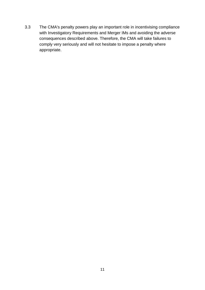3.3 The CMA's penalty powers play an important role in incentivising compliance with Investigatory Requirements and Merger IMs and avoiding the adverse consequences described above. Therefore, the CMA will take failures to comply very seriously and will not hesitate to impose a penalty where appropriate.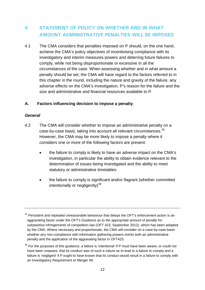# <span id="page-14-0"></span>**4 STATEMENT OF POLICY ON WHETHER AND IN WHAT AMOUNT ADMINISTRATIVE PENALTIES WILL BE IMPOSED**

4.1 The CMA considers that penalties imposed on P should, on the one hand, achieve the CMA's policy objectives of incentivising compliance with its investigatory and interim measures powers and deterring future failures to comply, while not being disproportionate or excessive in all the circumstances of the case. When assessing whether and in what amount a penalty should be set, the CMA will have regard to the factors referred to in this chapter in the round, including the nature and gravity of the failure, any adverse effects on the CMA's investigation, P's reason for the failure and the size and administrative and financial resources available to P.

#### **A. Factors influencing decision to impose a penalty**

#### *General*

- 4.2 The CMA will consider whether to impose an administrative penalty on a case-by-case basis, taking into account all relevant circumstances.<sup>[35](#page-14-1)</sup> However, the CMA may be more likely to impose a penalty where it considers one or more of the following factors are present:
	- the failure to comply is likely to have an adverse impact on the CMA's investigation, in particular the ability to obtain evidence relevant to the determination of issues being investigated and the ability to meet statutory or administrative timetables
	- the failure to comply is significant and/or flagrant (whether committed intentionally or negligently) $36$

<span id="page-14-1"></span> $35$  Persistent and repeated unreasonable behaviour that delays the OFT's enforcement action is an aggravating factor under *the OFT's Guidance as to the appropriate amount of penalty* for substantive infringements of competition law (OFT 423, September 2012), which has been adopted by the CMA. Where necessary and proportionate, the CMA will consider on a case-by-case basis whether any non-compliance with information gathering powers merits both an administrative penalty and the application of the aggravating factor in OFT423.

<span id="page-14-2"></span> $36$  For the purposes of this guidance, a failure is 'intentional' if P must have been aware, or could not have been unaware, that its conduct was of such a nature as to lead to a failure to comply and a failure is 'negligent' if P ought to have known that its conduct would result in a failure to comply with an Investigatory Requirement or Merger IM.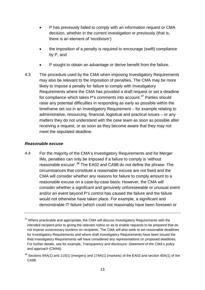- P has previously failed to comply with an information request or CMA decision, whether in the current investigation or previously (that is, there is an element of 'recidivism')
- the imposition of a penalty is required to encourage (swift) compliance by P, and
- P sought to obtain an advantage or derive benefit from the failure.
- <span id="page-15-2"></span>4.3 The procedure used by the CMA when imposing Investigatory Requirements may also be relevant to the imposition of penalties. The CMA may be more likely to impose a penalty for failure to comply with Investigatory Requirements where the CMA has provided a draft request or set a deadline for compliance which takes P's comments into account.<sup>[37](#page-15-0)</sup> Parties should raise any potential difficulties in responding as early as possible within the timeframe set out in an Investigatory Requirement – for example relating to administrative, resourcing, financial, logistical and practical issues – or any matters they do not understand with the case team as soon as possible after receiving a request, or as soon as they become aware that they may not meet the stipulated deadline.

#### *Reasonable excuse*

4.4 For the majority of the CMA's Investigatory Requirements and for Merger IMs, penalties can only be imposed if a failure to comply is 'without reasonable excuse'.<sup>[38](#page-15-1)</sup> The EA02 and CA98 do not define the phrase. The circumstances that constitute a reasonable excuse are not fixed and the CMA will consider whether any reasons for failure to comply amount to a reasonable excuse on a case-by-case basis. However, the CMA will consider whether a significant and genuinely unforeseeable or unusual event and/or an event beyond P's control has caused the failure and the failure would not otherwise have taken place. For example, a significant and demonstrable IT failure (which could not reasonably have been foreseen or

<span id="page-15-0"></span> $37$  Where practicable and appropriate, the CMA will discuss Investigatory Requirements with the intended recipient prior to giving the relevant notice so as to enable requests to be prepared that do not impose unnecessary burdens on recipients. The CMA will also seek to set reasonable deadlines for Investigatory Requirements and where draft Investigatory Requirements have been issued the final Investigatory Requirements will have considered any representations on proposed deadlines. For further details, see for example, *Transparency and disclosure: Statement of the CMA's policy and approach* (CMA6).

<span id="page-15-1"></span> $38$  Sections 94A(1) and 110(1) (mergers) and 174A(1) (markets) of the EA02 and section 40A(1) of the CA98.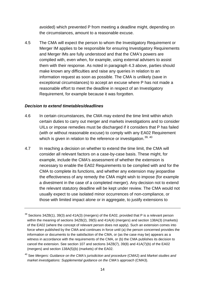avoided) which prevented P from meeting a deadline might, depending on the circumstances, amount to a reasonable excuse.

4.5 The CMA will expect the person to whom the Investigatory Requirement or Merger IM applies to be responsible for ensuring Investigatory Requirements and Merger IMs are fully understood and that the CMA's powers are complied with, even when, for example, using external advisers to assist them with their response. As noted in paragraph [4.3](#page-15-2) above, parties should make known any difficulties and raise any queries in relation to an information request as soon as possible. The CMA is unlikely (save in exceptional circumstances) to accept an excuse where P has not made a reasonable effort to meet the deadline in respect of an Investigatory Requirement, for example because it was forgotten.

#### *Decision to extend timetables/deadlines*

- 4.6 In certain circumstances, the CMA may extend the time limit within which certain duties to carry out merger and markets investigations and to consider UILs or impose remedies must be discharged if it considers that P has failed (with or without reasonable excuse) to comply with any EA02 Requirement which is given in relation to the reference or investigation.<sup>[39,](#page-16-0) [40](#page-16-1)</sup>
- 4.7 In reaching a decision on whether to extend the time limit, the CMA will consider all relevant factors on a case-by-case basis. These might, for example, include the CMA's assessment of whether the extension is necessary to enable the EA02 Requirements to be complied with and for the CMA to complete its functions, and whether any extension may jeopardise the effectiveness of any remedy the CMA might wish to impose (for example a divestment in the case of a completed merger). Any decision not to extend the relevant statutory deadline will be kept under review. The CMA would not usually expect to use isolated minor occurrences of non-compliance, or those with limited impact alone or in aggregate, to justify extensions to

<span id="page-16-0"></span> $39$  Sections 34ZB(1), 39(3) and 41A(3) (mergers) of the EA02, provided that P is a relevant person within the meaning of sections 34ZB(2), 39(5) and 41A(4) (mergers) and section 138A(3) (markets) of the EA02 (where the concept of relevant person does not apply). Such an extension comes into force when published by the CMA and continues in force until (a) the person concerned provides the information or documents to the satisfaction of the CMA, or (as the case may be) appears as a witness in accordance with the requirements of the CMA, or (b) the CMA publishes its decision to cancel the extension. See section 107 and sections 34ZB(7), 39(8) and 41A(7)(b) of the EA02 (mergers) and section 138A(5)(b) (markets) of the EA02.

<span id="page-16-1"></span><sup>40</sup> See *Mergers: Guidance on the CMA's jurisdiction and procedure* (CMA2) and *Market studies and market investigations: Supplemental guidance on the CMA's approach (CMA3).*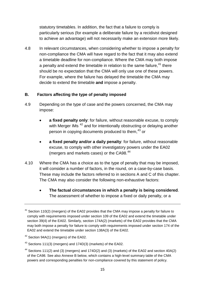statutory timetables. In addition, the fact that a failure to comply is particularly serious (for example a deliberate failure by a recidivist designed to achieve an advantage) will not necessarily make an extension more likely.

4.8 In relevant circumstances, when considering whether to impose a penalty for non-compliance the CMA will have regard to the fact that it may also extend a timetable deadline for non-compliance. Where the CMA may both impose a penalty and extend the timetable in relation to the same failure,<sup>[41](#page-17-0)</sup> there should be no expectation that the CMA will only use one of these powers. For example, where the failure has delayed the timetable the CMA may decide to extend the timetable **and** impose a penalty.

## **B. Factors affecting the type of penalty imposed**

- 4.9 Depending on the type of case and the powers concerned, the CMA may impose:
	- **a fixed penalty only**: for failure, without reasonable excuse, to comply with Merger IMs<sup>[42](#page-17-1)</sup> and for intentionally obstructing or delaying another person in copying documents produced to them,<sup>[43](#page-17-2)</sup> or
	- **a fixed penalty and/or a daily penalty**: for failure, without reasonable excuse, to comply with other investigatory powers under the EA02 (mergers and markets cases) or the CA98.<sup>[44](#page-17-3)</sup>
- 4.10 Where the CMA has a choice as to the type of penalty that may be imposed, it will consider a number of factors, in the round, on a case-by-case basis. These may include the factors referred to in sections A and C of this chapter. The CMA may also consider the following non-exhaustive factors:
	- **The factual circumstances in which a penalty is being considered**. The assessment of whether to impose a fixed or daily penalty, or a

<span id="page-17-0"></span> $41$  Section 110(2) (mergers) of the EA02 provides that the CMA may impose a penalty for failure to comply with requirements imposed under section 109 of the EA02 and extend the timetable under section 39(4) of the EA02. Similarly, section 174A(2) (markets) of the EA02 provides that the CMA may both impose a penalty for failure to comply with requirements imposed under section 174 of the EA02 and extend the timetable under section 138A(3) of the EA02.

<span id="page-17-1"></span><sup>42</sup> Section 94A(1) (mergers) of the EA02.

<span id="page-17-2"></span> $43$  Sections 111(3) (mergers) and 174D(3) (markets) of the EA02.

<span id="page-17-3"></span><sup>&</sup>lt;sup>44</sup> Sections 111(2) and (3) (mergers) and 174D(2) and (3) (markets) of the EA02 and section 40A(2) of the CA98. See also Annexe B below, which contains a high-level summary table of the CMA powers and corresponding penalties for non-compliance covered by this statement of policy.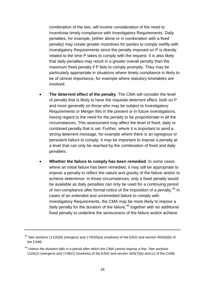combination of the two, will involve consideration of the need to incentivise timely compliance with Investigatory Requirements. Daily penalties, for example, (either alone or in combination with a fixed penalty) may create greater incentives for parties to comply swiftly with Investigatory Requirements since the penalty imposed on P is directly related to the time P takes to comply with the request. It is also likely that daily penalties may result in a greater overall penalty than the maximum fixed penalty if P fails to comply promptly. They may be particularly appropriate in situations where timely compliance is likely to be of utmost importance, for example where statutory timetables are involved.

- **The deterrent effect of the penalty**. The CMA will consider the level of penalty that is likely to have the requisite deterrent effect, both on P and more generally on those who may be subject to Investigatory Requirements or Merger IMs in the present or in future investigations, having regard to the need for the penalty to be proportionate in all the circumstances. This assessment may affect the level of fixed, daily or combined penalty that is set. Further, where it is important to send a strong deterrent message, for example where there is an egregious or persistent failure to comply, it may be important to impose a penalty at a level that can only be reached by the combination of fixed and daily penalties.
- **Whether the failure to comply has been remedied**. In some cases where an initial failure has been remedied, it may still be appropriate to impose a penalty to reflect the nature and gravity of the failure and/or to achieve deterrence. In those circumstances, only a fixed penalty would be available as daily penalties can only be used for a continuing period of non-compliance after formal notice of the imposition of a penalty.<sup>[45](#page-18-0)</sup> In cases of an extended and unremedied failure to comply with Investigatory Requirements, the CMA may be more likely to impose a daily penalty for the duration of the failure,<sup>[46](#page-18-1)</sup> together with an additional fixed penalty to underline the seriousness of the failure and/or achieve

<span id="page-18-0"></span><sup>&</sup>lt;sup>45</sup> See sections 111(5)(b) (mergers) and 174D(9)(a) (markets) of the EA02 and section 40A(6)(b) of the CA98.

<span id="page-18-1"></span> $46$  Unless the duration falls in a period after which the CMA cannot impose a fine. See sections 110A(1) (mergers) and 174B(1) (markets) of the EA02 and section 40A(7)(b) and (c) of the CA98.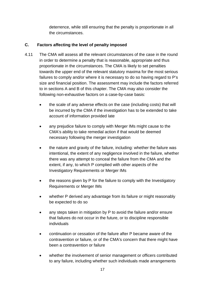deterrence, while still ensuring that the penalty is proportionate in all the circumstances.

# **C. Factors affecting the level of penalty imposed**

- 4.11 The CMA will assess all the relevant circumstances of the case in the round in order to determine a penalty that is reasonable, appropriate and thus proportionate in the circumstances. The CMA is likely to set penalties towards the upper end of the relevant statutory maxima for the most serious failures to comply and/or where it is necessary to do so having regard to P's size and financial position. The assessment may include the factors referred to in sections A and B of this chapter. The CMA may also consider the following non-exhaustive factors on a case-by-case basis:
	- the scale of any adverse effects on the case (including costs) that will be incurred by the CMA if the investigation has to be extended to take account of information provided late
	- any prejudice failure to comply with Merger IMs might cause to the CMA's ability to take remedial action if that would be deemed necessary following the merger investigation
	- the nature and gravity of the failure, including: whether the failure was intentional, the extent of any negligence involved in the failure, whether there was any attempt to conceal the failure from the CMA and the extent, if any, to which P complied with other aspects of the Investigatory Requirements or Merger IMs
	- the reasons given by P for the failure to comply with the Investigatory Requirements or Merger IMs
	- whether P derived any advantage from its failure or might reasonably be expected to do so
	- any steps taken in mitigation by P to avoid the failure and/or ensure that failures do not occur in the future, or to discipline responsible individuals
	- continuation or cessation of the failure after P became aware of the contravention or failure, or of the CMA's concern that there might have been a contravention or failure
	- whether the involvement of senior management or officers contributed to any failure, including whether such individuals made arrangements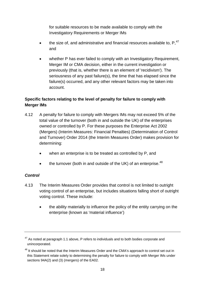for suitable resources to be made available to comply with the Investigatory Requirements or Merger IMs

- the size of, and administrative and financial resources available to,  $P,$ <sup>[47](#page-20-0)</sup> and
- whether P has ever failed to comply with an Investigatory Requirement, Merger IM or CMA decision, either in the current investigation or previously (that is, whether there is an element of 'recidivism'). The seriousness of any past failure(s), the time that has elapsed since the failure(s) occurred, and any other relevant factors may be taken into account.

# **Specific factors relating to the level of penalty for failure to comply with Merger IMs**

- 4.12 A penalty for failure to comply with Mergers IMs may not exceed 5% of the total value of the turnover (both in and outside the UK) of the enterprises owned or controlled by P. For these purposes the Enterprise Act 2002 (Mergers) (Interim Measures: Financial Penalties) (Determination of Control and Turnover) Order 2014 (the Interim Measures Order) makes provision for determining:
	- when an enterprise is to be treated as controlled by P, and
	- the turnover (both in and outside of the UK) of an enterprise. $48$

# *Control*

- 4.13 The Interim Measures Order provides that control is not limited to outright voting control of an enterprise, but includes situations falling short of outright voting control. These include:
	- the ability materially to influence the policy of the entity carrying on the enterprise (known as 'material influence')

<span id="page-20-0"></span> $47$  As noted at paragraph 1.1 above, P refers to individuals and to both bodies corporate and unincorporated.

<span id="page-20-1"></span><sup>&</sup>lt;sup>48</sup> It should be noted that the Interim Measures Order and the CMA's approach to control set out in this Statement relate solely to determining the penalty for failure to comply with Merger IMs under sections 94A(2) and (3) (mergers) of the EA02.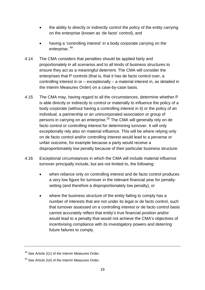- the ability to directly or indirectly control the policy of the entity carrying on the enterprise (known as 'de facto' control), and
- having a 'controlling interest' in a body corporate carrying on the enterprise. [49](#page-21-0)
- 4.14 The CMA considers that penalties should be applied fairly and proportionately in all scenarios and to all kinds of business structures to ensure they act as a meaningful deterrent. The CMA will consider the enterprises that P controls (that is, that it has de facto control over, a controlling interest in or – exceptionally – a material interest in, as detailed in the Interim Measures Order) on a case-by-case basis.
- 4.15 The CMA may, having regard to all the circumstances, determine whether P is able directly or indirectly to control or materially to influence the policy of a body corporate (without having a controlling interest in it) or the policy of an individual, a partnership or an unincorporated association or group of persons in carrying on an enterprise.<sup>[50](#page-21-1)</sup> The CMA will generally rely on de facto control or controlling interest for determining turnover. It will only exceptionally rely also on material influence. This will be where relying only on de facto control and/or controlling interest would lead to a perverse or unfair outcome, for example because a party would receive a disproportionately low penalty because of their particular business structure.
- 4.16 Exceptional circumstances in which the CMA will include material influence turnover principally include, but are not limited to, the following:
	- when reliance only on controlling interest and de facto control produces a very low figure for turnover in the relevant financial year for penaltysetting (and therefore a disproportionately low penalty), or
	- where the business structure of the entity failing to comply has a number of interests that are not under its legal or de facto control, such that turnover assessed on a controlling interest or de facto control basis cannot accurately reflect that entity's true financial position and/or would lead to a penalty that would not achieve the CMA's objectives of incentivising compliance with its investigatory powers and deterring future failures to comply.

<span id="page-21-0"></span><sup>&</sup>lt;sup>49</sup> See Article 2(1) of the Interim Measures Order.

<span id="page-21-1"></span> $50$  See Article 2(4) of the Interim Measures Order.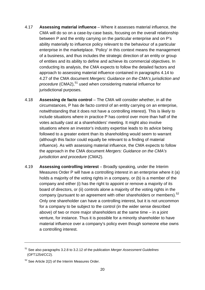- 4.17 **Assessing material influence** Where it assesses material influence, the CMA will do so on a case-by-case basis, focusing on the overall relationship between P and the entity carrying on the particular enterprise and on P's ability materially to influence policy relevant to the behaviour of a particular enterprise in the marketplace. 'Policy' in this context means the management of a business, and thus includes the strategic direction of an entity or group of entities and its ability to define and achieve its commercial objectives. In conducting its analysis, the CMA expects to follow the detailed factors and approach to assessing material influence contained in paragraphs 4.14 to 4.27 of the CMA document *Mergers: Guidance on the CMA's jurisdiction and*  procedure (CMA2),<sup>[51](#page-22-0)</sup> used when considering material influence for jurisdictional purposes.
- 4.18 **Assessing de facto control** The CMA will consider whether, in all the circumstances, P has de facto control of an entity carrying on an enterprise, notwithstanding that it does not have a controlling interest). This is likely to include situations where in practice P has control over more than half of the votes actually cast at a shareholders' meeting. It might also involve situations where an investor's industry expertise leads to its advice being followed to a greater extent than its shareholding would seem to warrant (although this factor could equally be relevant to a finding of material influence). As with assessing material influence, the CMA expects to follow the approach in the CMA document *Mergers: Guidance on the CMA's jurisdiction and procedure* (CMA2).
- 4.19 **Assessing controlling interest** Broadly speaking, under the Interim Measures Order P will have a controlling interest in an enterprise where it (a) holds a majority of the voting rights in a company, or (b) is a member of the company and either (i) has the right to appoint or remove a majority of its board of directors, or (ii) controls alone a majority of the voting rights in the company (pursuant to an agreement with other shareholders or members).<sup>[52](#page-22-1)</sup> Only one shareholder can have a controlling interest, but it is not uncommon for a company to be subject to the control (in the wider sense described above) of two or more major shareholders at the same time – in a joint venture, for instance. Thus it is possible for a minority shareholder to have material influence over a company's policy even though someone else owns a controlling interest.

<span id="page-22-0"></span><sup>51</sup> See also paragraphs 3.2.8 to 3.2.12 of the publication *Merger Assessment Guidelines* (OFT1254/CC2).

<span id="page-22-1"></span><sup>52</sup> See Article 2(2) of the Interim Measures Order.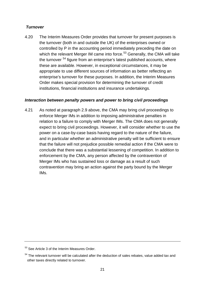# *Turnover*

4.20 The Interim Measures Order provides that turnover for present purposes is the turnover (both in and outside the UK) of the enterprises owned or controlled by P in the accounting period immediately preceding the date on which the relevant Merger IM came into force.<sup>[53](#page-23-1)</sup> Generally, the CMA will take the turnover <sup>[54](#page-23-2)</sup> figure from an enterprise's latest published accounts, where these are available. However, in exceptional circumstances, it may be appropriate to use different sources of information as better reflecting an enterprise's turnover for these purposes. In addition, the Interim Measures Order makes special provision for determining the turnover of credit institutions, financial institutions and insurance undertakings.

## *Interaction between penalty powers and power to bring civil proceedings*

<span id="page-23-0"></span>4.21 As noted at paragraph [2.9](#page-10-6) above, the CMA may bring civil proceedings to enforce Merger IMs in addition to imposing administrative penalties in relation to a failure to comply with Merger IMs. The CMA does not generally expect to bring civil proceedings. However, it will consider whether to use the power on a case-by-case basis having regard to the nature of the failure, and in particular whether an administrative penalty will be sufficient to ensure that the failure will not prejudice possible remedial action if the CMA were to conclude that there was a substantial lessening of competition. In addition to enforcement by the CMA, any person affected by the contravention of Merger IMs who has sustained loss or damage as a result of such contravention may bring an action against the party bound by the Merger IMs.

<span id="page-23-1"></span><sup>&</sup>lt;sup>53</sup> See Article 3 of the Interim Measures Order.

<span id="page-23-2"></span> $54$  The relevant turnover will be calculated after the deduction of sales rebates, value added tax and other taxes directly related to turnover.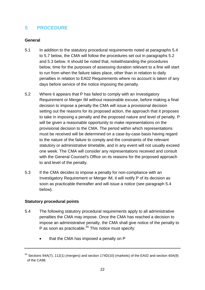# <span id="page-24-0"></span>**5 PROCEDURE**

## **General**

- 5.1 In addition to the statutory procedural requirements noted at paragraphs [5.4](#page-24-1) to [5.7](#page-26-0) below, the CMA will follow the procedures set out in paragraphs [5.2](#page-24-2) and [5.3](#page-24-3) below. It should be noted that, notwithstanding the procedures below, time for the purposes of assessing duration relevant to a fine will start to run from when the failure takes place, other than in relation to daily penalties in relation to EA02 Requirements where no account is taken of any days before service of the notice imposing the penalty.
- <span id="page-24-2"></span>5.2 Where it appears that P has failed to comply with an Investigatory Requirement or Merger IM without reasonable excuse, before making a final decision to impose a penalty the CMA will issue a provisional decision setting out the reasons for its proposed action, the approach that it proposes to take in imposing a penalty and the proposed nature and level of penalty. P will be given a reasonable opportunity to make representations on the provisional decision to the CMA. The period within which representations must be received will be determined on a case-by-case basis having regard to the nature of the failure to comply and the constraints of the relevant statutory or administrative timetable, and in any event will not usually exceed one week. The CMA will consider any representations received and consult with the General Counsel's Office on its reasons for the proposed approach to and level of the penalty.
- <span id="page-24-3"></span>5.3 If the CMA decides to impose a penalty for non-compliance with an Investigatory Requirement or Merger IM, it will notify P of its decision as soon as practicable thereafter and will issue a notice (see paragraph [5.4](#page-24-1) below).

## **Statutory procedural points**

- <span id="page-24-1"></span>5.4 The following statutory procedural requirements apply to all administrative penalties the CMA may impose. Once the CMA has reached a decision to impose an administrative penalty, the CMA shall give notice of the penalty to P as soon as practicable.<sup>[55](#page-24-4)</sup> This notice must specify:
	- that the CMA has imposed a penalty on P

<span id="page-24-4"></span> $<sup>55</sup>$  Sections 94A(7), 112(1) (mergers) and section 174D(10) (markets) of the EA02 and section 40A(9)</sup> of the CA98.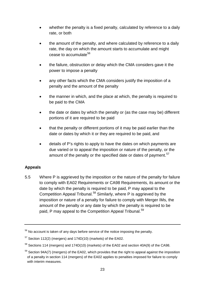- whether the penalty is a fixed penalty, calculated by reference to a daily rate, or both
- the amount of the penalty, and where calculated by reference to a daily rate, the day on which the amount starts to accumulate and might cease to accumulate<sup>[56](#page-25-0)</sup>
- the failure, obstruction or delay which the CMA considers gave it the power to impose a penalty
- any other facts which the CMA considers justify the imposition of a penalty and the amount of the penalty
- the manner in which, and the place at which, the penalty is required to be paid to the CMA
- the date or dates by which the penalty or (as the case may be) different portions of it are required to be paid
- that the penalty or different portions of it may be paid earlier than the date or dates by which it or they are required to be paid, and
- details of P's rights to apply to have the dates on which payments are due varied or to appeal the imposition or nature of the penalty, or the amount of the penalty or the specified date or dates of payment.<sup>[57](#page-25-1)</sup>

# **Appeals**

5.5 Where P is aggrieved by the imposition or the nature of the penalty for failure to comply with EA02 Requirements or CA98 Requirements, its amount or the date by which the penalty is required to be paid, P may appeal to the Competition Appeal Tribunal.<sup>[58](#page-25-2)</sup> Similarly, where P is aggrieved by the imposition or nature of a penalty for failure to comply with Merger IMs, the amount of the penalty or any date by which the penalty is required to be paid, P may appeal to the Competition Appeal Tribunal.<sup>[59](#page-25-3)</sup>

<span id="page-25-0"></span> $56$  No account is taken of any days before service of the notice imposing the penalty.

<span id="page-25-1"></span> $57$  Section 112(2) (mergers) and 174D(10) (markets) of the EA02.

<span id="page-25-2"></span><sup>&</sup>lt;sup>58</sup> Sections 114 (mergers) and 174D(10) (markets) of the EA02 and section 40A(9) of the CA98.

<span id="page-25-3"></span> $59$  Section 94A(7) (mergers) of the EA02, which provides that the right to appeal against the imposition of a penalty in section 114 (mergers) of the EA02 applies to penalties imposed for failure to comply with interim measures.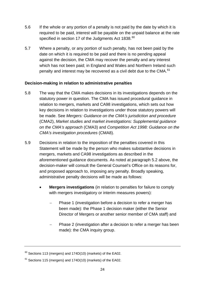- 5.6 If the whole or any portion of a penalty is not paid by the date by which it is required to be paid, interest will be payable on the unpaid balance at the rate specified in section 17 of the Judgments Act 1838.<sup>[60](#page-26-1)</sup>
- <span id="page-26-0"></span>5.7 Where a penalty, or any portion of such penalty, has not been paid by the date on which it is required to be paid and there is no pending appeal against the decision, the CMA may recover the penalty and any interest which has not been paid; in England and Wales and Northern Ireland such penalty and interest may be recovered as a civil debt due to the CMA.<sup>[61](#page-26-2)</sup>

## **Decision-making in relation to administrative penalties**

- 5.8 The way that the CMA makes decisions in its investigations depends on the statutory power in question. The CMA has issued procedural guidance in relation to mergers, markets and CA98 investigations, which sets out how key decisions in relation to investigations under those statutory powers will be made. See *Mergers: Guidance on the CMA's jurisdiction and procedure*  (CMA2), *Market studies and market investigations: Supplemental guidance on the CMA's approach* (CMA3) and *Competition Act 1998: Guidance on the CMA's investigation procedures* (CMA8).
- 5.9 Decisions in relation to the imposition of the penalties covered in this Statement will be made by the person who makes substantive decisions in mergers, markets and CA98 investigations as described in the aforementioned guidance documents. As noted at paragraph [5.2](#page-24-2) above, the decision-maker will consult the General Counsel's Office on its reasons for, and proposed approach to, imposing any penalty. Broadly speaking, administrative penalty decisions will be made as follows:
	- **Mergers investigations** (in relation to penalties for failure to comply with mergers investigatory or interim measures powers):
		- Phase 1 (investigation before a decision to refer a merger has been made): the Phase 1 decision maker (either the Senior Director of Mergers or another senior member of CMA staff) and
		- Phase 2 (investigation after a decision to refer a merger has been made): the CMA inquiry group.

<span id="page-26-1"></span> $60$  Sections 113 (mergers) and 174D(10) (markets) of the EA02.

<span id="page-26-2"></span> $61$  Sections 115 (mergers) and 174D(10) (markets) of the EA02.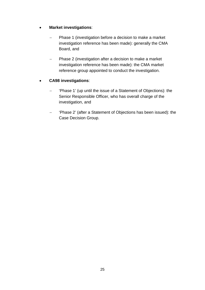# • **Market investigations**:

- − Phase 1 (investigation before a decision to make a market investigation reference has been made): generally the CMA Board, and
- − Phase 2 (investigation after a decision to make a market investigation reference has been made): the CMA market reference group appointed to conduct the investigation.

# • **CA98 investigations**:

- − 'Phase 1' (up until the issue of a Statement of Objections): the Senior Responsible Officer, who has overall charge of the investigation, and
- − 'Phase 2' (after a Statement of Objections has been issued): the Case Decision Group.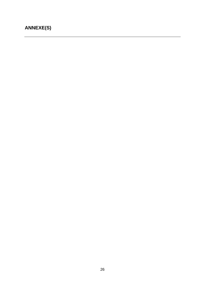# <span id="page-28-0"></span>**ANNEXE(S)**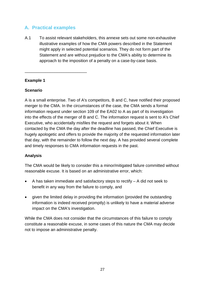# <span id="page-29-0"></span>**A. Practical examples**

\_\_\_\_\_\_\_\_\_\_\_\_\_\_\_\_\_\_\_\_\_\_\_\_\_\_\_

A.1 To assist relevant stakeholders, this annexe sets out some non-exhaustive illustrative examples of how the CMA powers described in the Statement might apply in selected potential scenarios. They do not form part of the Statement and are without prejudice to the CMA's ability to determine its approach to the imposition of a penalty on a case-by-case basis.

# **Example 1**

# **Scenario**

A is a small enterprise. Two of A's competitors, B and C, have notified their proposed merger to the CMA. In the circumstances of the case, the CMA sends a formal information request under section 109 of the EA02 to A as part of its investigation into the effects of the merger of B and C. The information request is sent to A's Chief Executive, who accidentally misfiles the request and forgets about it. When contacted by the CMA the day after the deadline has passed, the Chief Executive is hugely apologetic and offers to provide the majority of the requested information later that day, with the remainder to follow the next day. A has provided several complete and timely responses to CMA information requests in the past.

# **Analysis**

The CMA would be likely to consider this a minor/mitigated failure committed without reasonable excuse. It is based on an administrative error, which:

- A has taken immediate and satisfactory steps to rectify A did not seek to benefit in any way from the failure to comply, and
- given the limited delay in providing the information (provided the outstanding information is indeed received promptly) is unlikely to have a material adverse impact on the CMA's investigation.

While the CMA does not consider that the circumstances of this failure to comply constitute a reasonable excuse, in some cases of this nature the CMA may decide not to impose an administrative penalty.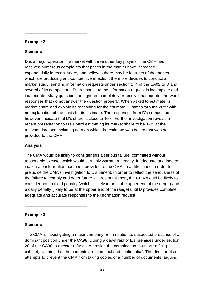# **Example 2**

**\_\_\_\_\_\_\_\_\_\_\_\_\_\_\_\_\_\_\_\_\_\_\_\_\_\_\_**

## **Scenario**

D is a major operator in a market with three other key players. The CMA has received numerous complaints that prices in the market have increased exponentially in recent years, and believes there may be features of the market which are producing anti-competitive effects. It therefore decides to conduct a market study, sending information requests under section 174 of the EA02 to D and several of its competitors. D's response to the information request is incomplete and inadequate. Many questions are ignored completely or receive inadequate one-word responses that do not answer the question properly. When asked to estimate its market share and explain its reasoning for the estimate, D states 'around 20%' with no explanation of the basis for its estimate. The responses from D's competitors, however, indicate that D's share is close to 40%. Further investigation reveals a recent presentation to D's Board estimating its market share to be 42% at the relevant time and including data on which the estimate was based that was not provided to the CMA.

## **Analysis**

The CMA would be likely to consider this a serious failure, committed without reasonable excuse, which would certainly warrant a penalty. Inadequate and indeed inaccurate information has been provided to the CMA, in all likelihood in order to prejudice the CMA's investigation to D's benefit. In order to reflect the seriousness of the failure to comply and deter future failures of this sort, the CMA would be likely to consider both a fixed penalty (which is likely to be at the upper end of the range) and a daily penalty (likely to be at the upper end of the range) until D provides complete, adequate and accurate responses to the information request.

## **Example 3**

**\_\_\_\_\_\_\_\_\_\_\_\_\_\_\_\_\_\_\_\_\_\_\_\_\_\_\_**

## **Scenario**

The CMA is investigating a major company, E, in relation to suspected breaches of a dominant position under the CA98. During a dawn raid of E's premises under section 28 of the CA98, a director refuses to provide the combination to unlock a filing cabinet, claiming that the contents are 'personal and confidential'. The director also attempts to prevent the CMA from taking copies of a number of documents, arguing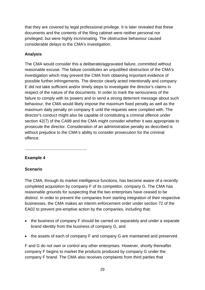that they are covered by legal professional privilege. It is later revealed that these documents and the contents of the filing cabinet were neither personal nor privileged, but were highly incriminating. The obstructive behaviour caused considerable delays to the CMA's investigation.

# **Analysis**

The CMA would consider this a deliberate/aggravated failure, committed without reasonable excuse. The failure constitutes an unjustified obstruction of the CMA's investigation which may prevent the CMA from obtaining important evidence of possible further infringements. The director clearly acted intentionally and company E did not take sufficient and/or timely steps to investigate the director's claims in respect of the nature of the documents. In order to mark the seriousness of the failure to comply with its powers and to send a strong deterrent message about such behaviour, the CMA would likely impose the maximum fixed penalty as well as the maximum daily penalty on company E until the requests were complied with. The director's conduct might also be capable of constituting a criminal offence under section 42(7) of the CA98 and the CMA might consider whether it was appropriate to prosecute the director. Consideration of an administrative penalty as described is without prejudice to the CMA's ability to consider prosecution for the criminal offence.

## **Example 4**

**\_\_\_\_\_\_\_\_\_\_\_\_\_\_\_\_\_\_\_\_\_\_\_\_\_\_\_**

## **Scenario**

The CMA, through its market intelligence functions, has become aware of a recently completed acquisition by company F of its competitor, company G. The CMA has reasonable grounds for suspecting that the two enterprises have ceased to be distinct. In order to prevent the companies from starting integration of their respective businesses, the CMA makes an interim enforcement order under section 72 of the EA02 to prevent pre-emptive action by the companies, including that:

- the business of company F should be carried on separately and under a separate brand identity from the business of company G, and
- the assets of each of company F and company G are maintained and preserved.

F and G do not own or control any other enterprises. However, shortly thereafter company F begins to market the products produced by company G under the company F brand. The CMA also receives complaints from third parties that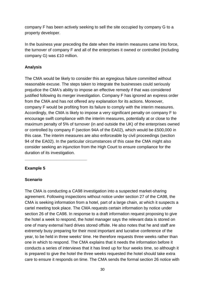company F has been actively seeking to sell the site occupied by company G to a property developer.

In the business year preceding the date when the interim measures came into force, the turnover of company F and all of the enterprises it owned or controlled (including company G) was £10 million.

#### **Analysis**

The CMA would be likely to consider this an egregious failure committed without reasonable excuse. The steps taken to integrate the businesses could seriously prejudice the CMA's ability to impose an effective remedy if that was considered justified following its merger investigation. Company F has ignored an express order from the CMA and has not offered any explanation for its actions. Moreover, company F would be profiting from its failure to comply with the interim measures. Accordingly, the CMA is likely to impose a very significant penalty on company F to encourage swift compliance with the interim measures, potentially at or close to the maximum penalty of 5% of turnover (in and outside the UK) of the enterprises owned or controlled by company F (section 94A of the EA02), which would be £500,000 in this case. The interim measures are also enforceable by civil proceedings (section 94 of the EA02). In the particular circumstances of this case the CMA might also consider seeking an injunction from the High Court to ensure compliance for the duration of its investigation.

#### **Example 5**

**\_\_\_\_\_\_\_\_\_\_\_\_\_\_\_\_\_\_\_\_\_\_\_\_\_\_\_**

#### **Scenario**

The CMA is conducting a CA98 investigation into a suspected market-sharing agreement. Following inspections without notice under section 27 of the CA98, the CMA is seeking information from a hotel, part of a large chain, at which it suspects a cartel meeting took place. The CMA requests certain information by notice under section 26 of the CA98. In response to a draft information request proposing to give the hotel a week to respond, the hotel manager says the relevant data is stored on one of many external hard drives stored offsite. He also notes that he and staff are extremely busy preparing for their most important and lucrative conference of the year, to be held in three weeks' time. He therefore requests three weeks rather than one in which to respond. The CMA explains that it needs the information before it conducts a series of interviews that it has lined up for four weeks time, so although it is prepared to give the hotel the three weeks requested the hotel should take extra care to ensure it responds on time. The CMA sends the formal section 26 notice with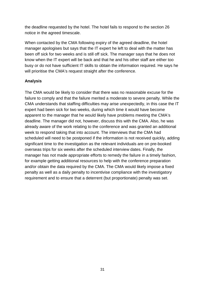the deadline requested by the hotel. The hotel fails to respond to the section 26 notice in the agreed timescale.

When contacted by the CMA following expiry of the agreed deadline, the hotel manager apologises but says that the IT expert he left to deal with the matter has been off sick for two weeks and is still off sick. The manager says that he does not know when the IT expert will be back and that he and his other staff are either too busy or do not have sufficient IT skills to obtain the information required. He says he will prioritise the CMA's request straight after the conference.

# **Analysis**

The CMA would be likely to consider that there was no reasonable excuse for the failure to comply and that the failure merited a moderate to severe penalty. While the CMA understands that staffing difficulties may arise unexpectedly, in this case the IT expert had been sick for two weeks, during which time it would have become apparent to the manager that he would likely have problems meeting the CMA's deadline. The manager did not, however, discuss this with the CMA. Also, he was already aware of the work relating to the conference and was granted an additional week to respond taking that into account. The interviews that the CMA had scheduled will need to be postponed if the information is not received quickly, adding significant time to the investigation as the relevant individuals are on pre-booked overseas trips for six weeks after the scheduled interview dates. Finally, the manager has not made appropriate efforts to remedy the failure in a timely fashion, for example getting additional resources to help with the conference preparation and/or obtain the data required by the CMA. The CMA would likely impose a fixed penalty as well as a daily penalty to incentivise compliance with the investigatory requirement and to ensure that a deterrent (but proportionate) penalty was set.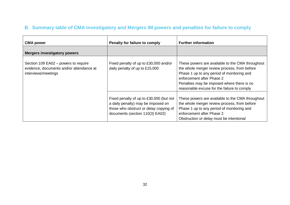# **B. Summary table of CMA investigatory and Mergers IM powers and penalties for failure to comply**

<span id="page-34-0"></span>

| <b>CMA power</b>                                                                                        | Penalty for failure to comply                                                                                                                              | <b>Further information</b>                                                                                                                                                                                                                                               |
|---------------------------------------------------------------------------------------------------------|------------------------------------------------------------------------------------------------------------------------------------------------------------|--------------------------------------------------------------------------------------------------------------------------------------------------------------------------------------------------------------------------------------------------------------------------|
| <b>Mergers investigatory powers</b>                                                                     |                                                                                                                                                            |                                                                                                                                                                                                                                                                          |
| Section 109 EA02 – powers to require<br>evidence, documents and/or attendance at<br>interviews/meetings | Fixed penalty of up to £30,000 and/or<br>daily penalty of up to £15,000                                                                                    | These powers are available to the CMA throughout<br>the whole merger review process, from before<br>Phase 1 up to any period of monitoring and<br>enforcement after Phase 2<br>Penalties may be imposed where there is no<br>reasonable excuse for the failure to comply |
|                                                                                                         | Fixed penalty of up to £30,000 (but not<br>a daily penalty) may be imposed on<br>those who obstruct or delay copying of<br>documents (section 110(3) EA02) | These powers are available to the CMA throughout<br>the whole merger review process, from before<br>Phase 1 up to any period of monitoring and<br>enforcement after Phase 2<br>Obstruction or delay must be intentional                                                  |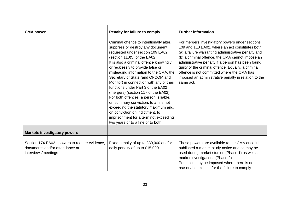| <b>CMA power</b>                                                                                        | <b>Penalty for failure to comply</b>                                                                                                                                                                                                                                                                                                                                                                                                                                                                                                                                                                                                                                                | <b>Further information</b>                                                                                                                                                                                                                                                                                                                                                                                                                   |
|---------------------------------------------------------------------------------------------------------|-------------------------------------------------------------------------------------------------------------------------------------------------------------------------------------------------------------------------------------------------------------------------------------------------------------------------------------------------------------------------------------------------------------------------------------------------------------------------------------------------------------------------------------------------------------------------------------------------------------------------------------------------------------------------------------|----------------------------------------------------------------------------------------------------------------------------------------------------------------------------------------------------------------------------------------------------------------------------------------------------------------------------------------------------------------------------------------------------------------------------------------------|
|                                                                                                         | Criminal offence to intentionally alter,<br>suppress or destroy any document<br>requested under section 109 EA02<br>(section 110(5) of the EA02)<br>It is also a criminal offence knowingly<br>or recklessly to provide false or<br>misleading information to the CMA, the<br>Secretary of State (and OFCOM and<br>Monitor) in connection with any of their<br>functions under Part 3 of the EA02<br>(mergers) (section 117 of the EA02)<br>For both offences, a person is liable,<br>on summary conviction, to a fine not<br>exceeding the statutory maximum and,<br>on conviction on indictment, to<br>imprisonment for a term not exceeding<br>two years or to a fine or to both | For mergers investigatory powers under sections<br>109 and 110 EA02, where an act constitutes both<br>(a) a failure warranting administrative penalty and<br>(b) a criminal offence, the CMA cannot impose an<br>administrative penalty if a person has been found<br>guilty of the criminal offence. Equally, a criminal<br>offence is not committed where the CMA has<br>imposed an administrative penalty in relation to the<br>same act. |
| <b>Markets investigatory powers</b>                                                                     |                                                                                                                                                                                                                                                                                                                                                                                                                                                                                                                                                                                                                                                                                     |                                                                                                                                                                                                                                                                                                                                                                                                                                              |
| Section 174 EA02 - powers to require evidence,<br>documents and/or attendance at<br>interviews/meetings | Fixed penalty of up to £30,000 and/or<br>daily penalty of up to £15,000                                                                                                                                                                                                                                                                                                                                                                                                                                                                                                                                                                                                             | These powers are available to the CMA once it has<br>published a market study notice and so may be<br>used during market studies (Phase 1) as well as<br>market investigations (Phase 2)<br>Penalties may be imposed where there is no<br>reasonable excuse for the failure to comply                                                                                                                                                        |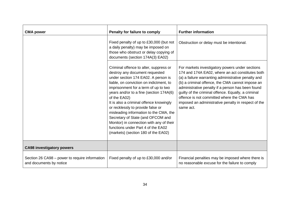| <b>CMA power</b>                                                          | Penalty for failure to comply                                                                                                                                                                                                                                                                                                                                                                                                                                                                                                                         | <b>Further information</b>                                                                                                                                                                                                                                                                                                                                                                                                                   |
|---------------------------------------------------------------------------|-------------------------------------------------------------------------------------------------------------------------------------------------------------------------------------------------------------------------------------------------------------------------------------------------------------------------------------------------------------------------------------------------------------------------------------------------------------------------------------------------------------------------------------------------------|----------------------------------------------------------------------------------------------------------------------------------------------------------------------------------------------------------------------------------------------------------------------------------------------------------------------------------------------------------------------------------------------------------------------------------------------|
|                                                                           | Fixed penalty of up to £30,000 (but not<br>a daily penalty) may be imposed on<br>those who obstruct or delay copying of<br>documents (section 174A(3) EA02)                                                                                                                                                                                                                                                                                                                                                                                           | Obstruction or delay must be intentional.                                                                                                                                                                                                                                                                                                                                                                                                    |
|                                                                           | Criminal offence to alter, suppress or<br>destroy any document requested<br>under section 174 EA02. A person is<br>liable, on conviction on indictment, to<br>imprisonment for a term of up to two<br>years and/or to a fine (section 174A(6)<br>of the EA02)<br>It is also a criminal offence knowingly<br>or recklessly to provide false or<br>misleading information to the CMA, the<br>Secretary of State (and OFCOM and<br>Monitor) in connection with any of their<br>functions under Part 4 of the EA02<br>(markets) (section 180 of the EA02) | For markets investigatory powers under sections<br>174 and 174A EA02, where an act constitutes both<br>(a) a failure warranting administrative penalty and<br>(b) a criminal offence, the CMA cannot impose an<br>administrative penalty if a person has been found<br>guilty of the criminal offence. Equally, a criminal<br>offence is not committed where the CMA has<br>imposed an administrative penalty in respect of the<br>same act. |
| <b>CA98 investigatory powers</b>                                          |                                                                                                                                                                                                                                                                                                                                                                                                                                                                                                                                                       |                                                                                                                                                                                                                                                                                                                                                                                                                                              |
| Section 26 CA98 - power to require information<br>and documents by notice | Fixed penalty of up to £30,000 and/or                                                                                                                                                                                                                                                                                                                                                                                                                                                                                                                 | Financial penalties may be imposed where there is<br>no reasonable excuse for the failure to comply                                                                                                                                                                                                                                                                                                                                          |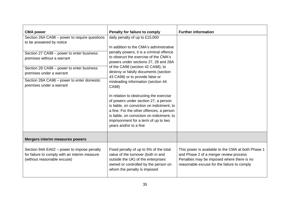| <b>CMA power</b>                                                                                                           | Penalty for failure to comply                                                                                                                                                                                                                                                             | <b>Further information</b>                                                                                                                                                                |
|----------------------------------------------------------------------------------------------------------------------------|-------------------------------------------------------------------------------------------------------------------------------------------------------------------------------------------------------------------------------------------------------------------------------------------|-------------------------------------------------------------------------------------------------------------------------------------------------------------------------------------------|
| Section 26A CA98 - power to require questions<br>to be answered by notice                                                  | daily penalty of up to £15,000                                                                                                                                                                                                                                                            |                                                                                                                                                                                           |
| Section 27 CA98 - power to enter business<br>premises without a warrant                                                    | In addition to the CMA's administrative<br>penalty powers, it is a criminal offence<br>to obstruct the exercise of the CMA's<br>powers under sections 27, 28 and 28A                                                                                                                      |                                                                                                                                                                                           |
| Section 28 CA98 - power to enter business<br>premises under a warrant                                                      | of the CA98 (section 42 CA98), to<br>destroy or falsify documents (section<br>43 CA98) or to provide false or                                                                                                                                                                             |                                                                                                                                                                                           |
| Section 28A CA98 - power to enter domestic<br>premises under a warrant                                                     | misleading information (section 44<br>CA98)                                                                                                                                                                                                                                               |                                                                                                                                                                                           |
|                                                                                                                            | In relation to obstructing the exercise<br>of powers under section 27, a person<br>is liable, on conviction on indictment, to<br>a fine. For the other offences, a person<br>is liable, on conviction on indictment, to<br>imprisonment for a term of up to two<br>years and/or to a fine |                                                                                                                                                                                           |
| <b>Mergers interim measures powers</b>                                                                                     |                                                                                                                                                                                                                                                                                           |                                                                                                                                                                                           |
| Section 94A EA02 - power to impose penalty<br>for failure to comply with an interim measure<br>(without reasonable excuse) | Fixed penalty of up to 5% of the total<br>value of the turnover (both in and<br>outside the UK) of the enterprises<br>owned or controlled by the person on<br>whom the penalty is imposed                                                                                                 | This power is available to the CMA at both Phase 1<br>and Phase 2 of a merger review process<br>Penalties may be imposed where there is no<br>reasonable excuse for the failure to comply |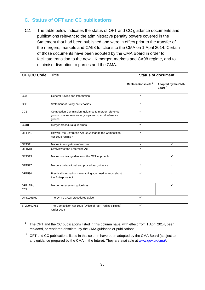# <span id="page-38-0"></span>**C. Status of OFT and CC publications**

C.1 The table below indicates the status of OFT and CC guidance documents and publications relevant to the administrative penalty powers covered in the Statement that had been published and were in effect prior to the transfer of the mergers, markets and CA98 functions to the CMA on 1 April 2014. Certain of those documents have been adopted by the CMA Board in order to facilitate transition to the new UK merger, markets and CA98 regime, and to minimise disruption to parties and the CMA.

| <b>OFT/CC Code</b>          | <b>Title</b>                                                                                                            | <b>Status of document</b>      |                                          |
|-----------------------------|-------------------------------------------------------------------------------------------------------------------------|--------------------------------|------------------------------------------|
|                             |                                                                                                                         | Replaced/obsolete <sup>1</sup> | Adopted by the CMA<br>Board <sup>2</sup> |
| CC4                         | General Advice and Information                                                                                          | $\checkmark$                   |                                          |
| CC <sub>5</sub>             | Statement of Policy on Penalties                                                                                        | ✓                              |                                          |
| CC <sub>6</sub>             | Competition Commission: guidance to merger reference<br>groups, market reference groups and special reference<br>groups |                                |                                          |
| CC <sub>18</sub>            | Merger procedural guidelines                                                                                            | $\checkmark$                   |                                          |
| <b>OFT441</b>               | How will the Enterprise Act 2002 change the Competition<br>Act 1998 regime?                                             | ✓                              |                                          |
| <b>OFT511</b>               | Market investigation references                                                                                         | $\blacksquare$                 | ✓                                        |
| <b>OFT518</b>               | Overview of the Enterprise Act                                                                                          | ✓                              |                                          |
| <b>OFT519</b>               | Market studies: guidance on the OFT approach                                                                            |                                | ✓                                        |
| <b>OFT527</b>               | Mergers jurisdictional and procedural guidance                                                                          | ✓                              |                                          |
| <b>OFT530</b>               | Practical information – everything you need to know about<br>the Enterprise Act                                         | ✓                              |                                          |
| OFT1254/<br>CC <sub>2</sub> | Merger assessment guidelines                                                                                            |                                | ✓                                        |
| OFT1263rev                  | The OFT's CA98 procedures guide                                                                                         | $\checkmark$                   |                                          |
| SI 2004/2751                | The Competition Act 1998 (Office of Fair Trading's Rules)<br>Order 2004                                                 | ✓                              |                                          |

- $1$  The OFT and the CC publications listed in this column have, with effect from 1 April 2014, been replaced, or rendered obsolete, by the CMA guidance or publications.
- $2^2$  OFT and CC publications listed in this column have been adopted by the CMA Board (subject to any guidance prepared by the CMA in the future). They are available at [www.gov.uk/cma/.](http://www.gov.uk/cma/)